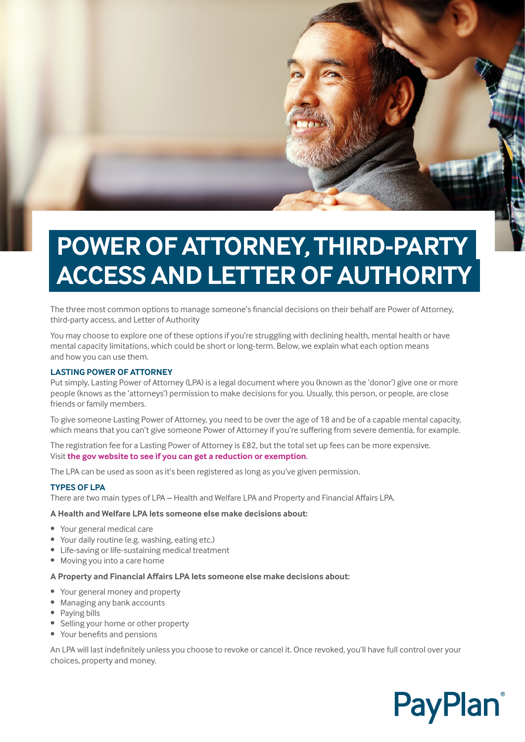

The three most common options to manage someone's financial decisions on their behalf are Power of Attorney, third-party access, and Letter of Authority

You may choose to explore one of these options if you're struggling with declining health, mental health or have mental capacity limitations, which could be short or long-term. Below, we explain what each option means and how you can use them.

### **LASTING POWER OF ATTORNEY**

Put simply, Lasting Power of Attorney (LPA) is a legal document where you (known as the 'donor') give one or more people (knows as the 'attorneys') permission to make decisions for you. Usually, this person, or people, are close friends or family members.

To give someone Lasting Power of Attorney, you need to be over the age of 18 and be of a capable mental capacity, which means that you can't give someone Power of Attorney if you're suffering from severe dementia, for example.

The registration fee for a Lasting Power of Attorney is £82, but the total set up fees can be more expensive. Visit **[the gov website to see if you can get a reduction or exemption](https://www.gov.uk/power-of-attorney)**.

The LPA can be used as soon as it's been registered as long as you've given permission.

### **TYPES OF LPA**

There are two main types of LPA – Health and Welfare LPA and Property and Financial Affairs LPA.

#### **A Health and Welfare LPA lets someone else make decisions about:**

- Your general medical care
- Your daily routine (e.g. washing, eating etc.)
- Life-saving or life-sustaining medical treatment
- Moving you into a care home

## **A Property and Financial Affairs LPA lets someone else make decisions about:**

- Your general money and property
- Managing any bank accounts
- Paying bills
- Selling your home or other property
- Your benefits and pensions

An LPA will last indefinitely unless you choose to revoke or cancel it. Once revoked, you'll have full control over your choices, property and money.